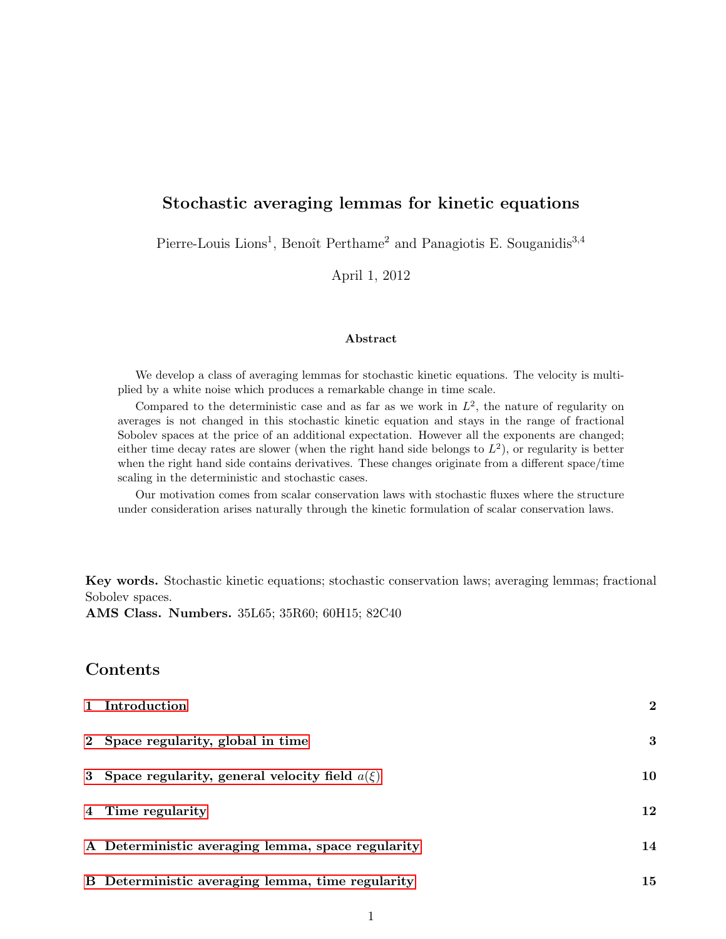# Stochastic averaging lemmas for kinetic equations

Pierre-Louis Lions<sup>1</sup>, Benoît Perthame<sup>2</sup> and Panagiotis E. Souganidis<sup>3,4</sup>

April 1, 2012

#### Abstract

We develop a class of averaging lemmas for stochastic kinetic equations. The velocity is multiplied by a white noise which produces a remarkable change in time scale.

Compared to the deterministic case and as far as we work in  $L^2$ , the nature of regularity on averages is not changed in this stochastic kinetic equation and stays in the range of fractional Sobolev spaces at the price of an additional expectation. However all the exponents are changed; either time decay rates are slower (when the right hand side belongs to  $L^2$ ), or regularity is better when the right hand side contains derivatives. These changes originate from a different space/time scaling in the deterministic and stochastic cases.

Our motivation comes from scalar conservation laws with stochastic fluxes where the structure under consideration arises naturally through the kinetic formulation of scalar conservation laws.

Key words. Stochastic kinetic equations; stochastic conservation laws; averaging lemmas; fractional Sobolev spaces.

AMS Class. Numbers. 35L65; 35R60; 60H15; 82C40

# Contents

| 1 Introduction                                      | $\overline{2}$ |
|-----------------------------------------------------|----------------|
| 2 Space regularity, global in time                  | 3              |
| 3 Space regularity, general velocity field $a(\xi)$ | 10             |
| 4 Time regularity                                   | $12\,$         |
| A Deterministic averaging lemma, space regularity   | 14             |
| B Deterministic averaging lemma, time regularity    | 15             |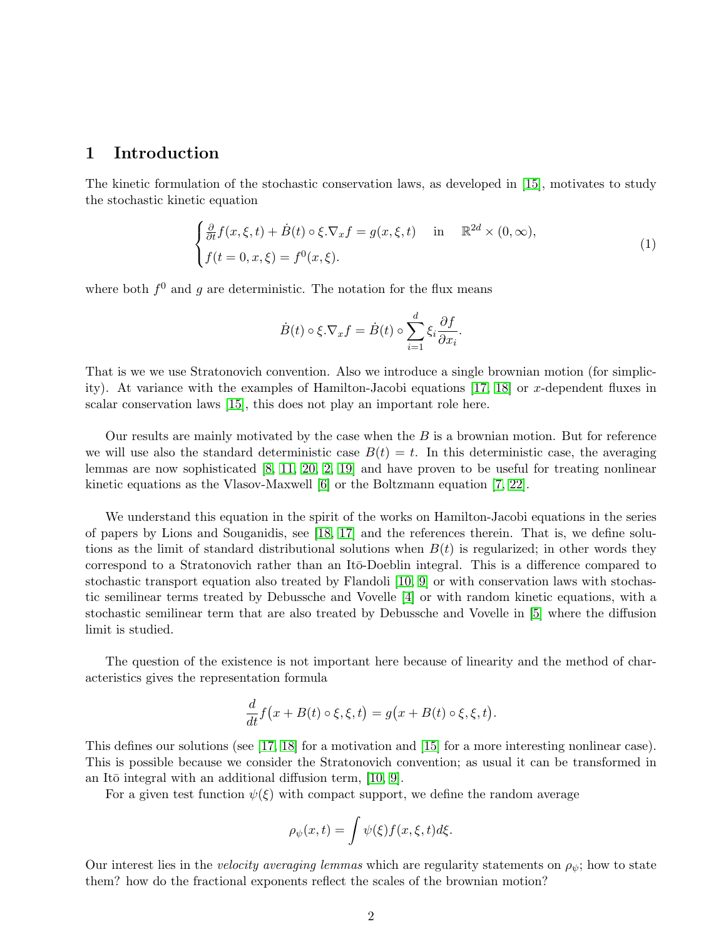### <span id="page-1-0"></span>1 Introduction

The kinetic formulation of the stochastic conservation laws, as developed in [\[15\]](#page-16-0), motivates to study the stochastic kinetic equation

<span id="page-1-1"></span>
$$
\begin{cases} \frac{\partial}{\partial t} f(x,\xi,t) + \dot{B}(t) \circ \xi \cdot \nabla_x f = g(x,\xi,t) & \text{in} \quad \mathbb{R}^{2d} \times (0,\infty), \\ f(t=0,x,\xi) = f^0(x,\xi). \end{cases}
$$
(1)

where both  $f^0$  and g are deterministic. The notation for the flux means

$$
\dot{B}(t) \circ \xi. \nabla_x f = \dot{B}(t) \circ \sum_{i=1}^d \xi_i \frac{\partial f}{\partial x_i}.
$$

That is we we use Stratonovich convention. Also we introduce a single brownian motion (for simplic-ity). At variance with the examples of Hamilton-Jacobi equations [\[17,](#page-16-1) [18\]](#page-16-2) or x-dependent fluxes in scalar conservation laws [\[15\]](#page-16-0), this does not play an important role here.

Our results are mainly motivated by the case when the  $B$  is a brownian motion. But for reference we will use also the standard deterministic case  $B(t) = t$ . In this deterministic case, the averaging lemmas are now sophisticated [\[8,](#page-15-0) [11,](#page-16-3) [20,](#page-16-4) [2,](#page-15-1) [19\]](#page-16-5) and have proven to be useful for treating nonlinear kinetic equations as the Vlasov-Maxwell [\[6\]](#page-15-2) or the Boltzmann equation [\[7,](#page-15-3) [22\]](#page-16-6).

We understand this equation in the spirit of the works on Hamilton-Jacobi equations in the series of papers by Lions and Souganidis, see [\[18,](#page-16-2) [17\]](#page-16-1) and the references therein. That is, we define solutions as the limit of standard distributional solutions when  $B(t)$  is regularized; in other words they correspond to a Stratonovich rather than an Itō-Doeblin integral. This is a difference compared to stochastic transport equation also treated by Flandoli [\[10,](#page-16-7) [9\]](#page-15-4) or with conservation laws with stochastic semilinear terms treated by Debussche and Vovelle [\[4\]](#page-15-5) or with random kinetic equations, with a stochastic semilinear term that are also treated by Debussche and Vovelle in [\[5\]](#page-15-6) where the diffusion limit is studied.

The question of the existence is not important here because of linearity and the method of characteristics gives the representation formula

$$
\frac{d}{dt}f(x+B(t)\circ\xi,\xi,t)=g(x+B(t)\circ\xi,\xi,t).
$$

This defines our solutions (see [\[17,](#page-16-1) [18\]](#page-16-2) for a motivation and [\[15\]](#page-16-0) for a more interesting nonlinear case). This is possible because we consider the Stratonovich convention; as usual it can be transformed in an Itō integral with an additional diffusion term,  $[10, 9]$  $[10, 9]$ .

For a given test function  $\psi(\xi)$  with compact support, we define the random average

$$
\rho_{\psi}(x,t) = \int \psi(\xi) f(x,\xi,t) d\xi.
$$

Our interest lies in the *velocity averaging lemmas* which are regularity statements on  $\rho_{\psi}$ ; how to state them? how do the fractional exponents reflect the scales of the brownian motion?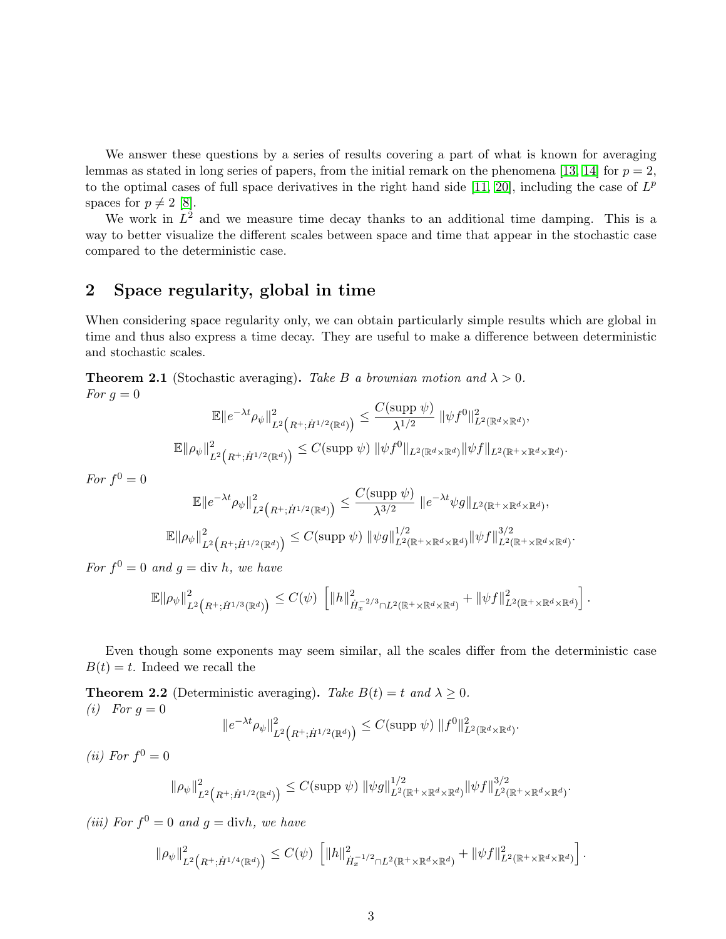We answer these questions by a series of results covering a part of what is known for averaging lemmas as stated in long series of papers, from the initial remark on the phenomena [\[13,](#page-16-8) [14\]](#page-16-9) for  $p = 2$ , to the optimal cases of full space derivatives in the right hand side [\[11,](#page-16-3) [20\]](#page-16-4), including the case of  $L^p$ spaces for  $p \neq 2$  [\[8\]](#page-15-0).

We work in  $L^2$  and we measure time decay thanks to an additional time damping. This is a way to better visualize the different scales between space and time that appear in the stochastic case compared to the deterministic case.

### <span id="page-2-0"></span>2 Space regularity, global in time

When considering space regularity only, we can obtain particularly simple results which are global in time and thus also express a time decay. They are useful to make a difference between deterministic and stochastic scales.

<span id="page-2-1"></span>**Theorem 2.1** (Stochastic averaging). Take B a brownian motion and  $\lambda > 0$ . For  $q=0$ 

$$
\mathbb{E} \|e^{-\lambda t} \rho_{\psi}\|_{L^2\left(R^+; \dot{H}^{1/2}(\mathbb{R}^d)\right)}^2 \leq \frac{C(\text{supp }\psi)}{\lambda^{1/2}} \|\psi f^0\|_{L^2(\mathbb{R}^d \times \mathbb{R}^d)}^2,
$$
  

$$
\mathbb{E} \|\rho_{\psi}\|_{L^2\left(R^+; \dot{H}^{1/2}(\mathbb{R}^d)\right)}^2 \leq C(\text{supp }\psi) \|\psi f^0\|_{L^2(\mathbb{R}^d \times \mathbb{R}^d)} \|\psi f\|_{L^2(\mathbb{R}^+ \times \mathbb{R}^d \times \mathbb{R}^d)}
$$

.

For  $f^0=0$ 

$$
\mathbb{E} \|e^{-\lambda t} \rho_{\psi}\|_{L^2\left(R^+; \dot{H}^{1/2}(\mathbb{R}^d)\right)}^2 \leq \frac{C(\text{supp }\psi)}{\lambda^{3/2}} \|e^{-\lambda t} \psi g\|_{L^2(\mathbb{R}^+ \times \mathbb{R}^d \times \mathbb{R}^d)},
$$
  

$$
\mathbb{E} \|\rho_{\psi}\|_{L^2\left(R^+; \dot{H}^{1/2}(\mathbb{R}^d)\right)}^2 \leq C(\text{supp }\psi) \|\psi g\|_{L^2(\mathbb{R}^+ \times \mathbb{R}^d \times \mathbb{R}^d)}^{1/2} \|\psi f\|_{L^2(\mathbb{R}^+ \times \mathbb{R}^d \times \mathbb{R}^d)}^{3/2}.
$$

For  $f^0 = 0$  and  $g = \text{div } h$ , we have

$$
\mathbb{E} \| \rho_{\psi} \|^2_{L^2 \big( R^+; \dot{H}^{1/3}(\mathbb{R}^d) \big)} \leq C(\psi) \, \left[ \| h \|^2_{\dot{H}^{-2/3}_x \cap L^2(\mathbb{R}^+ \times \mathbb{R}^d \times \mathbb{R}^d)} + \| \psi f \|^2_{L^2(\mathbb{R}^+ \times \mathbb{R}^d \times \mathbb{R}^d)} \right].
$$

Even though some exponents may seem similar, all the scales differ from the deterministic case  $B(t) = t$ . Indeed we recall the

<span id="page-2-2"></span>**Theorem 2.2** (Deterministic averaging). Take  $B(t) = t$  and  $\lambda \geq 0$ . (*i*) For  $g = 0$  $\|e^{-\lambda t}\rho_\psi\|_F^2$  $\frac{2}{L^2(R^+; \dot{H}^{1/2}(\mathbb{R}^d))} \leq C(\text{supp }\psi) \, \|f^0\|_{L^2(\mathbb{R}^d \times \mathbb{R}^d)}^2.$ 

(*ii*) For  $f^0 = 0$ 

$$
\|\rho_{\psi}\|_{L^2\left(R^+;\dot{H}^{1/2}(\mathbb{R}^d)\right)}^2 \leq C(\text{supp }\psi) \|\psi g\|_{L^2(\mathbb{R}^+\times\mathbb{R}^d\times\mathbb{R}^d)}^{1/2} \|\psi f\|_{L^2(\mathbb{R}^+\times\mathbb{R}^d\times\mathbb{R}^d)}^{3/2}.
$$

(iii) For  $f^0 = 0$  and  $g = \text{div}h$ , we have

$$
\|\rho_{\psi}\|_{L^2\big(R^+;\dot{H}^{1/4}(\mathbb{R}^d)\big)}^2 \leq C(\psi) \left[ \|h\|_{\dot{H}^{-1/2}_{x}\cap L^2(\mathbb{R}^+\times\mathbb{R}^d\times\mathbb{R}^d)}^2 + \|\psi f\|_{L^2(\mathbb{R}^+\times\mathbb{R}^d\times\mathbb{R}^d)}^2 \right].
$$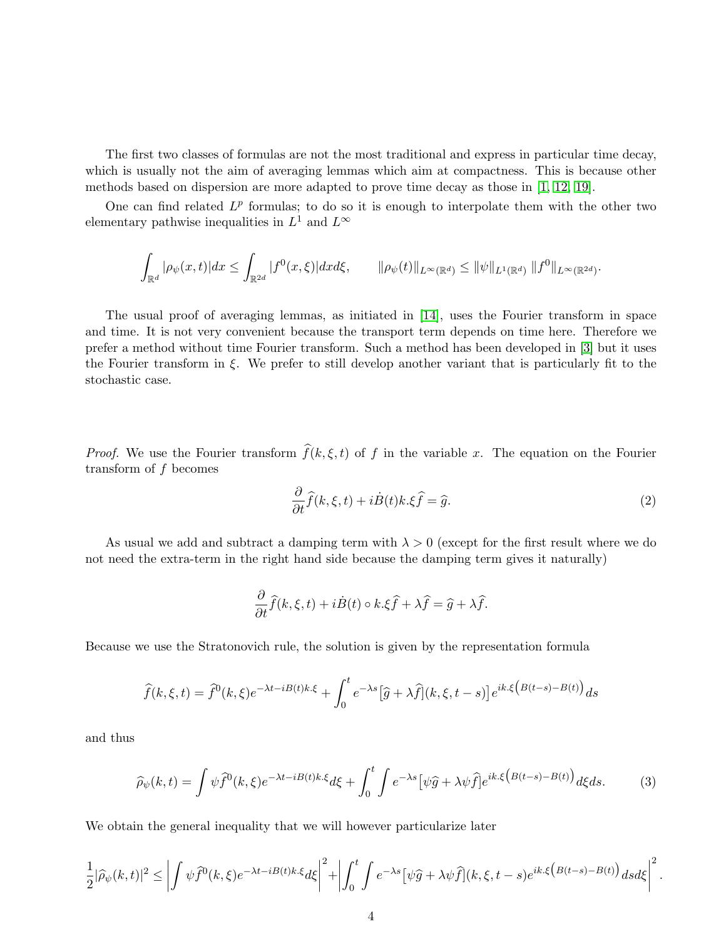The first two classes of formulas are not the most traditional and express in particular time decay, which is usually not the aim of averaging lemmas which aim at compactness. This is because other methods based on dispersion are more adapted to prove time decay as those in [\[1,](#page-15-7) [12,](#page-16-10) [19\]](#page-16-5).

One can find related  $L^p$  formulas; to do so it is enough to interpolate them with the other two elementary pathwise inequalities in  $L^1$  and  $L^{\infty}$ 

$$
\int_{\mathbb{R}^d} |\rho_{\psi}(x,t)| dx \leq \int_{\mathbb{R}^{2d}} |f^0(x,\xi)| dx d\xi, \qquad ||\rho_{\psi}(t)||_{L^{\infty}(\mathbb{R}^d)} \leq ||\psi||_{L^1(\mathbb{R}^d)} ||f^0||_{L^{\infty}(\mathbb{R}^{2d})}.
$$

The usual proof of averaging lemmas, as initiated in [\[14\]](#page-16-9), uses the Fourier transform in space and time. It is not very convenient because the transport term depends on time here. Therefore we prefer a method without time Fourier transform. Such a method has been developed in [\[3\]](#page-15-8) but it uses the Fourier transform in  $\xi$ . We prefer to still develop another variant that is particularly fit to the stochastic case.

*Proof.* We use the Fourier transform  $\hat{f}(k, \xi, t)$  of f in the variable x. The equation on the Fourier transform of  $f$  becomes

$$
\frac{\partial}{\partial t}\hat{f}(k,\xi,t) + i\dot{B}(t)k.\xi\hat{f} = \hat{g}.\tag{2}
$$

As usual we add and subtract a damping term with  $\lambda > 0$  (except for the first result where we do not need the extra-term in the right hand side because the damping term gives it naturally)

$$
\frac{\partial}{\partial t}\widehat{f}(k,\xi,t) + i\dot{B}(t) \circ k.\xi\widehat{f} + \lambda\widehat{f} = \widehat{g} + \lambda\widehat{f}.
$$

Because we use the Stratonovich rule, the solution is given by the representation formula

$$
\widehat{f}(k,\xi,t) = \widehat{f}^0(k,\xi)e^{-\lambda t - iB(t)k.\xi} + \int_0^t e^{-\lambda s} \left[\widehat{g} + \lambda \widehat{f}\right](k,\xi,t-s)\left[e^{ik.\xi\left(B(t-s) - B(t)\right)}ds\right]
$$

and thus

<span id="page-3-0"></span>
$$
\widehat{\rho}_{\psi}(k,t) = \int \psi \widehat{f}^{0}(k,\xi) e^{-\lambda t - iB(t)k.\xi} d\xi + \int_{0}^{t} \int e^{-\lambda s} \left[ \psi \widehat{g} + \lambda \psi \widehat{f} \right] e^{ik.\xi \left( B(t-s) - B(t) \right)} d\xi ds. \tag{3}
$$

We obtain the general inequality that we will however particularize later

$$
\frac{1}{2}|\widehat{\rho}_{\psi}(k,t)|^2 \leq \left| \int \psi \widehat{f}^0(k,\xi) e^{-\lambda t - iB(t)k.\xi} d\xi \right|^2 + \left| \int_0^t \int e^{-\lambda s} \left[ \psi \widehat{g} + \lambda \psi \widehat{f} \right](k,\xi,t-s) e^{ik.\xi \left( B(t-s) - B(t) \right)} ds d\xi \right|^2.
$$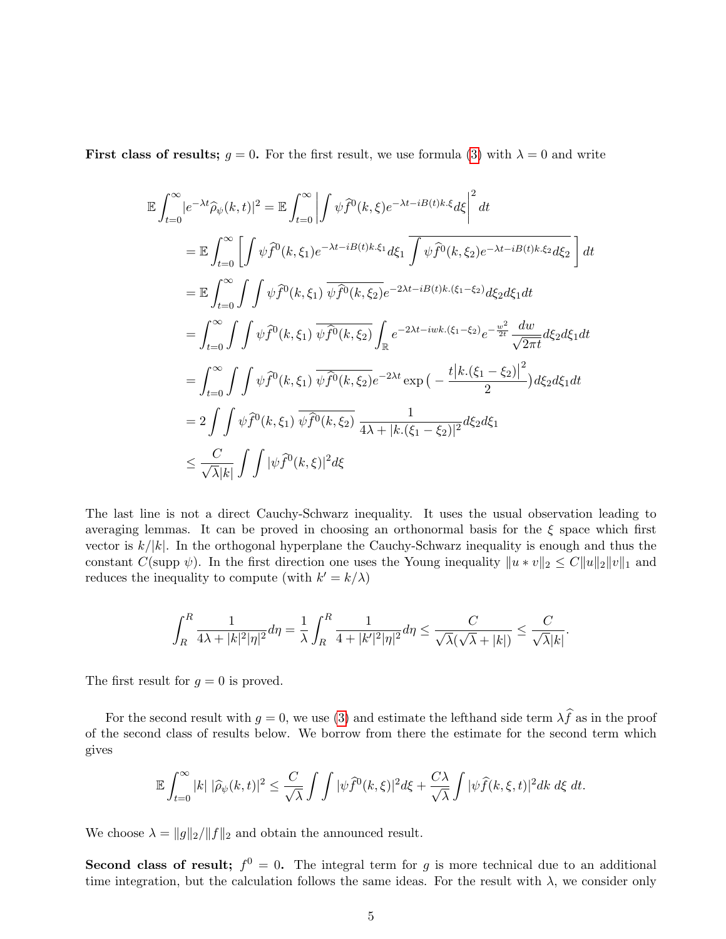First class of results;  $g = 0$ . For the first result, we use formula [\(3\)](#page-3-0) with  $\lambda = 0$  and write

$$
\mathbb{E} \int_{t=0}^{\infty} |e^{-\lambda t} \hat{\rho}_{\psi}(k,t)|^{2} = \mathbb{E} \int_{t=0}^{\infty} \left| \int \psi \hat{f}^{0}(k,\xi) e^{-\lambda t - iB(t)k.\xi} d\xi \right|^{2} dt
$$
  
\n
$$
= \mathbb{E} \int_{t=0}^{\infty} \left[ \int \psi \hat{f}^{0}(k,\xi_{1}) e^{-\lambda t - iB(t)k.\xi_{1}} d\xi_{1} \int \psi \hat{f}^{0}(k,\xi_{2}) e^{-\lambda t - iB(t)k.\xi_{2}} d\xi_{2} \right] dt
$$
  
\n
$$
= \mathbb{E} \int_{t=0}^{\infty} \int \int \psi \hat{f}^{0}(k,\xi_{1}) \overline{\psi \hat{f}^{0}(k,\xi_{2})} e^{-2\lambda t - iB(t)k.(\xi_{1} - \xi_{2})} d\xi_{2} d\xi_{1} dt
$$
  
\n
$$
= \int_{t=0}^{\infty} \int \int \psi \hat{f}^{0}(k,\xi_{1}) \overline{\psi \hat{f}^{0}(k,\xi_{2})} \int_{\mathbb{R}} e^{-2\lambda t - iwk.(\xi_{1} - \xi_{2})} e^{-\frac{w^{2}}{2t}} \frac{dw}{\sqrt{2\pi t}} d\xi_{2} d\xi_{1} dt
$$
  
\n
$$
= \int_{t=0}^{\infty} \int \int \psi \hat{f}^{0}(k,\xi_{1}) \overline{\psi \hat{f}^{0}(k,\xi_{2})} e^{-2\lambda t} \exp \big(-\frac{t|k.(\xi_{1} - \xi_{2})|^{2}}{2}\big) d\xi_{2} d\xi_{1} dt
$$
  
\n
$$
= 2 \int \int \psi \hat{f}^{0}(k,\xi_{1}) \overline{\psi \hat{f}^{0}(k,\xi_{2})} \frac{1}{4\lambda + |k.(\xi_{1} - \xi_{2})|^{2}} d\xi_{2} d\xi_{1}
$$
  
\n
$$
\leq \frac{C}{\sqrt{\lambda}|k|} \int \int |\psi \hat{f}^{0}(k,\xi)|^{2} d\xi
$$

The last line is not a direct Cauchy-Schwarz inequality. It uses the usual observation leading to averaging lemmas. It can be proved in choosing an orthonormal basis for the  $\xi$  space which first vector is  $k/|k|$ . In the orthogonal hyperplane the Cauchy-Schwarz inequality is enough and thus the constant C(supp  $\psi$ ). In the first direction one uses the Young inequality  $||u * v||_2 \leq C||u||_2||v||_1$  and reduces the inequality to compute (with  $k' = k/\lambda$ )

$$
\int_R^R \frac{1}{4\lambda+|k|^2|\eta|^2}d\eta=\frac{1}{\lambda}\int_R^R \frac{1}{4+|k'|^2|\eta|^2}d\eta\leq \frac{C}{\sqrt{\lambda}(\sqrt{\lambda}+|k|)}\leq \frac{C}{\sqrt{\lambda}|k|}.
$$

The first result for  $g = 0$  is proved.

For the second result with  $g = 0$ , we use [\(3\)](#page-3-0) and estimate the lefthand side term  $\lambda \hat{f}$  as in the proof of the second class of results below. We borrow from there the estimate for the second term which gives

$$
\mathbb{E}\int_{t=0}^{\infty}|k|\,|\widehat{\rho}_{\psi}(k,t)|^2\leq\frac{C}{\sqrt{\lambda}}\int\int|\psi \widehat{f}^0(k,\xi)|^2d\xi+\frac{C\lambda}{\sqrt{\lambda}}\int|\psi \widehat{f}(k,\xi,t)|^2dk\,d\xi\,dt.
$$

We choose  $\lambda = ||g||_2/||f||_2$  and obtain the announced result.

Second class of result;  $f^0 = 0$ . The integral term for g is more technical due to an additional time integration, but the calculation follows the same ideas. For the result with  $\lambda$ , we consider only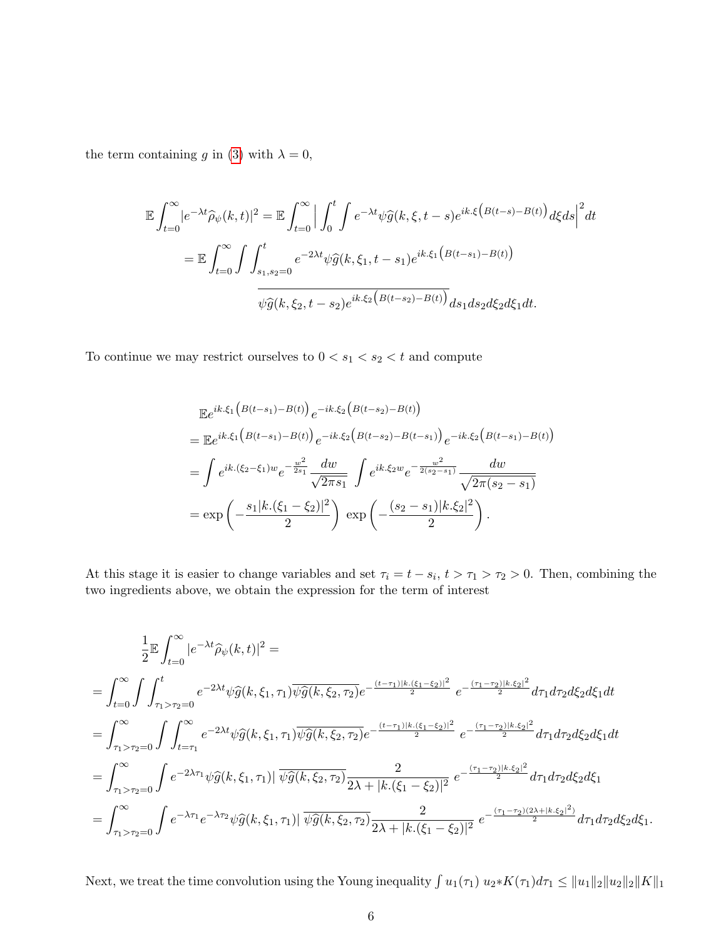the term containing g in [\(3\)](#page-3-0) with  $\lambda = 0$ ,

$$
\mathbb{E} \int_{t=0}^{\infty} |e^{-\lambda t} \hat{\rho}_{\psi}(k,t)|^{2} = \mathbb{E} \int_{t=0}^{\infty} \Big| \int_{0}^{t} \int e^{-\lambda t} \psi \hat{g}(k,\xi,t-s) e^{ik.\xi \left(B(t-s)-B(t)\right)} d\xi ds \Big|^{2} dt
$$
  
= 
$$
\mathbb{E} \int_{t=0}^{\infty} \int \int_{s_{1},s_{2}=0}^{t} e^{-2\lambda t} \psi \hat{g}(k,\xi_{1},t-s_{1}) e^{ik.\xi_{1} \left(B(t-s_{1})-B(t)\right)}
$$
  

$$
\overline{\psi \hat{g}(k,\xi_{2},t-s_{2}) e^{ik.\xi_{2} \left(B(t-s_{2})-B(t)\right)}} ds_{1} ds_{2} d\xi_{2} d\xi_{1} dt.
$$

To continue we may restrict ourselves to  $0 < s_1 < s_2 < t$  and compute

$$
\mathbb{E}e^{ik.\xi_1\left(B(t-s_1)-B(t)\right)}e^{-ik.\xi_2\left(B(t-s_2)-B(t)\right)}
$$
\n
$$
=\mathbb{E}e^{ik.\xi_1\left(B(t-s_1)-B(t)\right)}e^{-ik.\xi_2\left(B(t-s_2)-B(t-s_1)\right)}e^{-ik.\xi_2\left(B(t-s_1)-B(t)\right)}
$$
\n
$$
=\int e^{ik.(\xi_2-\xi_1)w}e^{-\frac{w^2}{2s_1}}\frac{dw}{\sqrt{2\pi s_1}}\int e^{ik.\xi_2w}e^{-\frac{w^2}{2(s_2-s_1)}}\frac{dw}{\sqrt{2\pi(s_2-s_1)}}
$$
\n
$$
=\exp\left(-\frac{s_1|k.(\xi_1-\xi_2)|^2}{2}\right)\exp\left(-\frac{(s_2-s_1)|k.\xi_2|^2}{2}\right).
$$

At this stage it is easier to change variables and set  $\tau_i = t - s_i$ ,  $t > \tau_1 > \tau_2 > 0$ . Then, combining the two ingredients above, we obtain the expression for the term of interest

$$
\frac{1}{2}\mathbb{E}\int_{t=0}^{\infty}|e^{-\lambda t}\hat{\rho}_{\psi}(k,t)|^{2} =
$$
\n
$$
= \int_{t=0}^{\infty}\int\int_{\tau_{1}>\tau_{2}=0}^{t}e^{-2\lambda t}\psi\hat{g}(k,\xi_{1},\tau_{1})\overline{\psi}\hat{g}(k,\xi_{2},\tau_{2})e^{-\frac{(t-\tau_{1})|k.(\xi_{1}-\xi_{2})|^{2}}{2}}e^{-\frac{(\tau_{1}-\tau_{2})|k.\xi_{2}|^{2}}{2}}d\tau_{1}d\tau_{2}d\xi_{2}d\xi_{1}dt
$$
\n
$$
= \int_{\tau_{1}>\tau_{2}=0}^{\infty}\int\int_{t=\tau_{1}}^{\infty}e^{-2\lambda t}\psi\hat{g}(k,\xi_{1},\tau_{1})\overline{\psi}\hat{g}(k,\xi_{2},\tau_{2})e^{-\frac{(t-\tau_{1})|k.(\xi_{1}-\xi_{2})|^{2}}{2}}e^{-\frac{(\tau_{1}-\tau_{2})|k.\xi_{2}|^{2}}{2}}d\tau_{1}d\tau_{2}d\xi_{2}d\xi_{1}dt
$$
\n
$$
= \int_{\tau_{1}>\tau_{2}=0}^{\infty}\int e^{-2\lambda\tau_{1}}\psi\hat{g}(k,\xi_{1},\tau_{1})|\overline{\psi}\hat{g}(k,\xi_{2},\tau_{2})\frac{2}{2\lambda+|k.(\xi_{1}-\xi_{2})|^{2}}e^{-\frac{(\tau_{1}-\tau_{2})|k.\xi_{2}|^{2}}{2}}d\tau_{1}d\tau_{2}d\xi_{2}d\xi_{1}
$$
\n
$$
= \int_{\tau_{1}>\tau_{2}=0}^{\infty}\int e^{-\lambda\tau_{1}}e^{-\lambda\tau_{2}}\psi\hat{g}(k,\xi_{1},\tau_{1})|\overline{\psi}\hat{g}(k,\xi_{2},\tau_{2})\frac{2}{2\lambda+|k.(\xi_{1}-\xi_{2})|^{2}}e^{-\frac{(\tau_{1}-\tau_{2})|2\lambda+|k.\xi_{2}|^{2})}{2}}d\tau_{1}d\tau_{2}d\xi_{2}d\xi_{1}.
$$

Next, we treat the time convolution using the Young inequality  $\int u_1(\tau_1) u_2 * K(\tau_1) d\tau_1 \leq ||u_1||_2 ||u_2||_2 ||K||_1$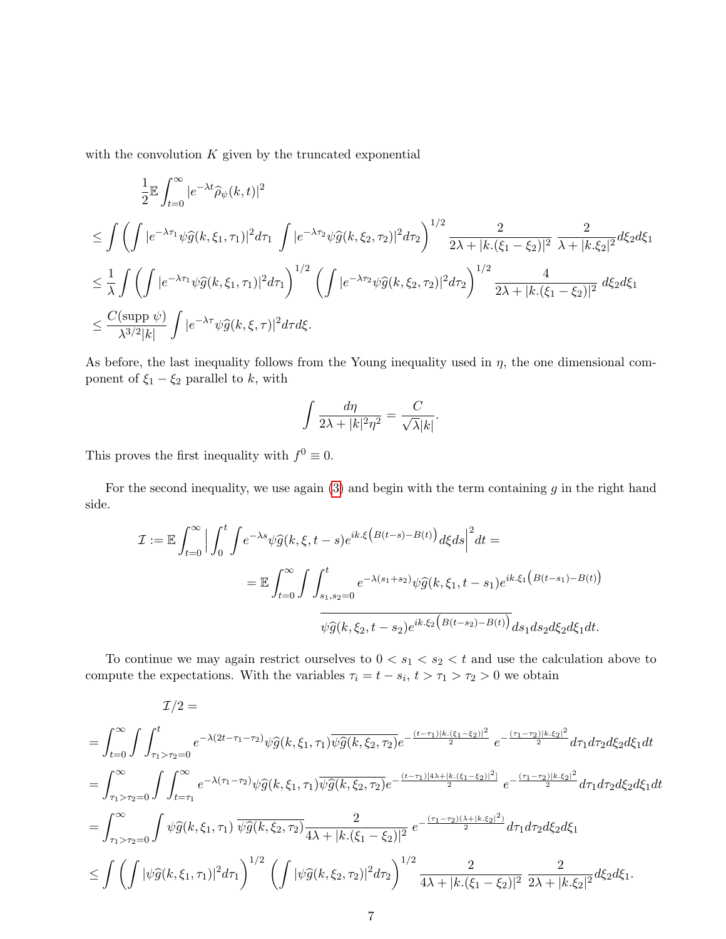with the convolution  $K$  given by the truncated exponential

$$
\begin{split}\n&\frac{1}{2}\mathbb{E}\int_{t=0}^{\infty}|e^{-\lambda t}\widehat{\rho}_{\psi}(k,t)|^{2} \\
&\leq \int \left(\int|e^{-\lambda \tau_{1}}\psi\widehat{g}(k,\xi_{1},\tau_{1})|^{2}d\tau_{1}\int|e^{-\lambda \tau_{2}}\psi\widehat{g}(k,\xi_{2},\tau_{2})|^{2}d\tau_{2}\right)^{1/2} \frac{2}{2\lambda+|k.(\xi_{1}-\xi_{2})|^{2}}\frac{2}{\lambda+|k.\xi_{2}|^{2}}d\xi_{2}d\xi_{1} \\
&\leq \frac{1}{\lambda}\int \left(\int|e^{-\lambda \tau_{1}}\psi\widehat{g}(k,\xi_{1},\tau_{1})|^{2}d\tau_{1}\right)^{1/2}\left(\int|e^{-\lambda \tau_{2}}\psi\widehat{g}(k,\xi_{2},\tau_{2})|^{2}d\tau_{2}\right)^{1/2} \frac{4}{2\lambda+|k.(\xi_{1}-\xi_{2})|^{2}}d\xi_{2}d\xi_{1} \\
&\leq \frac{C(\text{supp }\psi)}{\lambda^{3/2}|k|}\int|e^{-\lambda \tau}\psi\widehat{g}(k,\xi,\tau)|^{2}d\tau d\xi.\n\end{split}
$$

As before, the last inequality follows from the Young inequality used in  $\eta$ , the one dimensional component of  $\xi_1 - \xi_2$  parallel to k, with

$$
\int \frac{d\eta}{2\lambda+|k|^2\eta^2}=\frac{C}{\sqrt{\lambda}|k|}.
$$

This proves the first inequality with  $f^0 \equiv 0$ .

For the second inequality, we use again  $(3)$  and begin with the term containing g in the right hand side.

$$
\mathcal{I} := \mathbb{E} \int_{t=0}^{\infty} \Big| \int_{0}^{t} \int e^{-\lambda s} \psi \widehat{g}(k, \xi, t-s) e^{ik.\xi \left(B(t-s) - B(t)\right)} d\xi ds \Big|^2 dt =
$$
  

$$
= \mathbb{E} \int_{t=0}^{\infty} \int \int_{s_1, s_2=0}^{t} e^{-\lambda (s_1 + s_2)} \psi \widehat{g}(k, \xi_1, t-s_1) e^{ik.\xi_1 \left(B(t-s_1) - B(t)\right)} \over \psi \widehat{g}(k, \xi_2, t-s_2) e^{ik.\xi_2 \left(B(t-s_2) - B(t)\right)} ds_1 ds_2 d\xi_2 d\xi_1 dt.
$$

To continue we may again restrict ourselves to  $0 < s_1 < s_2 < t$  and use the calculation above to compute the expectations. With the variables  $\tau_i = t - s_i, t > \tau_1 > \tau_2 > 0$  we obtain

$$
\mathcal{I}/2 = \int_{t=0}^{\infty} \int \int_{\tau_1 > \tau_2 = 0}^{t} e^{-\lambda(2t - \tau_1 - \tau_2)} \psi \hat{g}(k, \xi_1, \tau_1) \overline{\psi} \hat{g}(k, \xi_2, \tau_2) e^{-\frac{(t - \tau_1)|k \cdot (\xi_1 - \xi_2)|^2}{2}} e^{-\frac{(\tau_1 - \tau_2)|k \cdot \xi_2|^2}{2}} d\tau_1 d\tau_2 d\xi_2 d\xi_1 dt
$$
  
\n
$$
= \int_{\tau_1 > \tau_2 = 0}^{\infty} \int \int_{t=\tau_1}^{\infty} e^{-\lambda(\tau_1 - \tau_2)} \psi \hat{g}(k, \xi_1, \tau_1) \overline{\psi} \hat{g}(k, \xi_2, \tau_2) e^{-\frac{(t - \tau_1)|4\lambda + |k \cdot (\xi_1 - \xi_2)|^2}{2}} e^{-\frac{(\tau_1 - \tau_2)|k \cdot \xi_2|^2}{2}} d\tau_1 d\tau_2 d\xi_2 d\xi_1 dt
$$
  
\n
$$
= \int_{\tau_1 > \tau_2 = 0}^{\infty} \int \psi \hat{g}(k, \xi_1, \tau_1) \overline{\psi} \hat{g}(k, \xi_2, \tau_2) \frac{2}{4\lambda + |k \cdot (\xi_1 - \xi_2)|^2} e^{-\frac{(\tau_1 - \tau_2)(\lambda + |k \cdot \xi_2|^2)}{2}} d\tau_1 d\tau_2 d\xi_2 d\xi_1
$$
  
\n
$$
\leq \int \left( \int |\psi \hat{g}(k, \xi_1, \tau_1)|^2 d\tau_1 \right)^{1/2} \left( \int |\psi \hat{g}(k, \xi_2, \tau_2)|^2 d\tau_2 \right)^{1/2} \frac{2}{4\lambda + |k \cdot (\xi_1 - \xi_2)|^2} \frac{2}{2\lambda + |k \cdot \xi_2|^2} d\xi_2 d\xi_1.
$$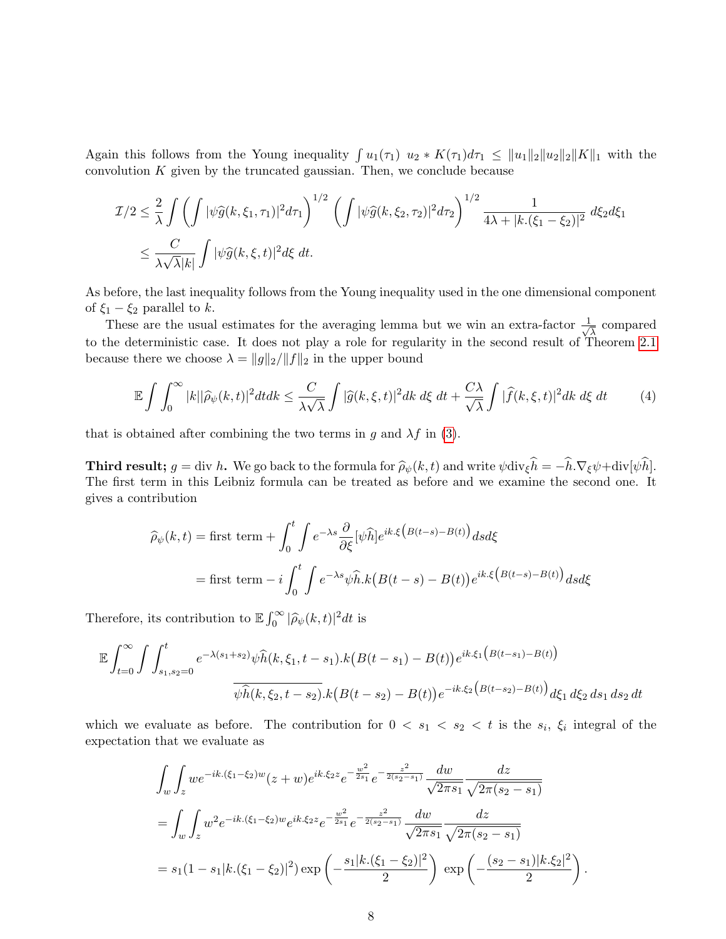Again this follows from the Young inequality  $\int u_1(\tau_1) u_2 * K(\tau_1) d\tau_1 \leq ||u_1||_2 ||u_2||_2 ||K||_1$  with the convolution  $K$  given by the truncated gaussian. Then, we conclude because

$$
\mathcal{I}/2 \leq \frac{2}{\lambda} \int \left( \int |\psi \widehat{g}(k,\xi_1,\tau_1)|^2 d\tau_1 \right)^{1/2} \left( \int |\psi \widehat{g}(k,\xi_2,\tau_2)|^2 d\tau_2 \right)^{1/2} \frac{1}{4\lambda + |k.(\xi_1 - \xi_2)|^2} d\xi_2 d\xi_1
$$
  

$$
\leq \frac{C}{\lambda \sqrt{\lambda} |k|} \int |\psi \widehat{g}(k,\xi,t)|^2 d\xi dt.
$$

As before, the last inequality follows from the Young inequality used in the one dimensional component of  $\xi_1 - \xi_2$  parallel to k.

These are the usual estimates for the averaging lemma but we win an extra-factor  $\frac{1}{\sqrt{2}}$  $\frac{1}{\lambda}$  compared to the deterministic case. It does not play a role for regularity in the second result of Theorem [2.1](#page-2-1) because there we choose  $\lambda = ||g||_2/||f||_2$  in the upper bound

<span id="page-7-0"></span>
$$
\mathbb{E}\int\int_0^\infty |k||\widehat{\rho}_{\psi}(k,t)|^2dt\,dt \leq \frac{C}{\lambda\sqrt{\lambda}}\int |\widehat{g}(k,\xi,t)|^2\,dt\,d\xi\,dt + \frac{C\lambda}{\sqrt{\lambda}}\int |\widehat{f}(k,\xi,t)|^2\,dt\,d\xi\,dt\tag{4}
$$

that is obtained after combining the two terms in g and  $\lambda f$  in [\(3\)](#page-3-0).

**Third result;**  $g = \text{div } h$ . We go back to the formula for  $\hat{\rho}_{\psi}(k, t)$  and write  $\psi \text{div}_{\xi} h = -h \cdot \nabla_{\xi} \psi + \text{div}[\psi h]$ .<br>The first term in this Leibniz formula can be treated as before and we examine the second one. It The first term in this Leibniz formula can be treated as before and we examine the second one. It gives a contribution

$$
\widehat{\rho}_{\psi}(k,t) = \text{first term} + \int_0^t \int e^{-\lambda s} \frac{\partial}{\partial \xi} [\psi \widehat{h}] e^{ik.\xi \left(B(t-s) - B(t)\right)} ds d\xi
$$

$$
= \text{first term} - i \int_0^t \int e^{-\lambda s} \psi \widehat{h}.k \left(B(t-s) - B(t)\right) e^{ik.\xi \left(B(t-s) - B(t)\right)} ds d\xi
$$

Therefore, its contribution to  $\mathbb{E} \int_0^\infty |\widehat{\rho}_{\psi}(k,t)|^2 dt$  is

$$
\mathbb{E} \int_{t=0}^{\infty} \int \int_{s_1, s_2=0}^{t} e^{-\lambda(s_1+s_2)} \psi \widehat{h}(k, \xi_1, t-s_1) \cdot k \big(B(t-s_1) - B(t)\big) e^{ik \cdot \xi_1 \big(B(t-s_1) - B(t)\big)}
$$

$$
\overline{\psi \widehat{h}(k, \xi_2, t-s_2)} \cdot k \big(B(t-s_2) - B(t)\big) e^{-ik \cdot \xi_2 \big(B(t-s_2) - B(t)\big)} d\xi_1 d\xi_2 ds_1 ds_2 dt
$$

which we evaluate as before. The contribution for  $0 < s_1 < s_2 < t$  is the  $s_i$ ,  $\xi_i$  integral of the expectation that we evaluate as

$$
\int_{w} \int_{z} we^{-ik.(\xi_{1}-\xi_{2})w}(z+w)e^{ik.\xi_{2}z}e^{-\frac{w^{2}}{2s_{1}}}e^{-\frac{z^{2}}{2(s_{2}-s_{1})}}\frac{dw}{\sqrt{2\pi s_{1}}}\frac{dz}{\sqrt{2\pi(s_{2}-s_{1})}}
$$
\n
$$
= \int_{w} \int_{z} w^{2}e^{-ik.(\xi_{1}-\xi_{2})w}e^{ik.\xi_{2}z}e^{-\frac{w^{2}}{2s_{1}}}e^{-\frac{z^{2}}{2(s_{2}-s_{1})}}\frac{dw}{\sqrt{2\pi s_{1}}}\frac{dz}{\sqrt{2\pi(s_{2}-s_{1})}}
$$
\n
$$
= s_{1}(1-s_{1}|k.(\xi_{1}-\xi_{2})|^{2})\exp\left(-\frac{s_{1}|k.(\xi_{1}-\xi_{2})|^{2}}{2}\right)\exp\left(-\frac{(s_{2}-s_{1})|k.\xi_{2}|^{2}}{2}\right).
$$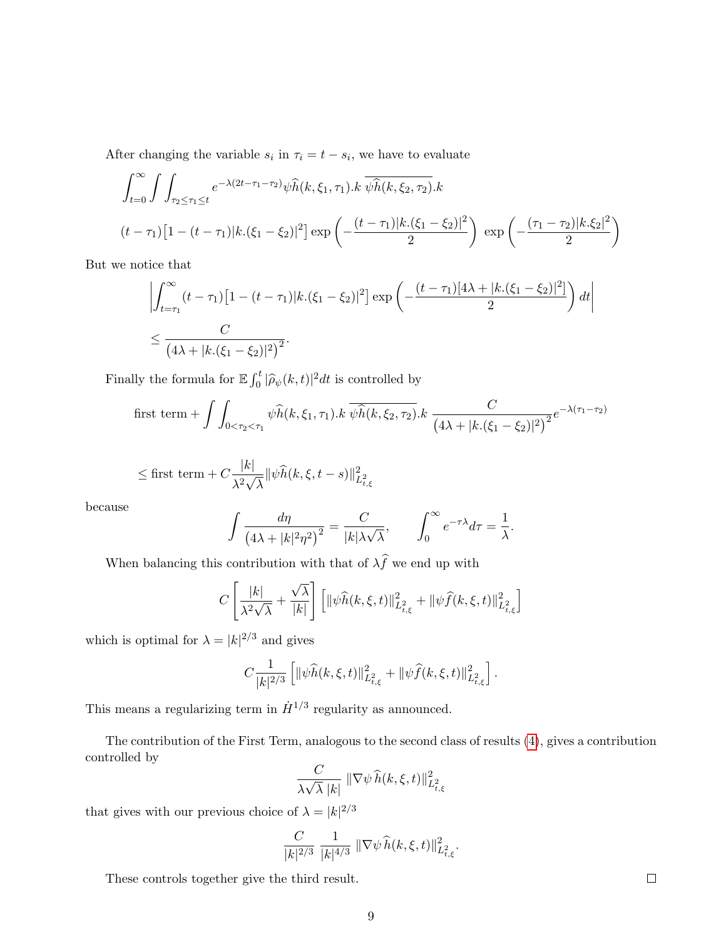After changing the variable  $s_i$  in  $\tau_i = t - s_i$ , we have to evaluate

$$
\int_{t=0}^{\infty} \int \int_{\tau_2 \le \tau_1 \le t} e^{-\lambda (2t - \tau_1 - \tau_2)} \psi \widehat{h}(k, \xi_1, \tau_1) \cdot k \, \overline{\psi \widehat{h}(k, \xi_2, \tau_2)} \cdot k
$$
\n
$$
(t - \tau_1) \left[ 1 - (t - \tau_1) |k \cdot (\xi_1 - \xi_2)|^2 \right] \exp\left( -\frac{(t - \tau_1) |k \cdot (\xi_1 - \xi_2)|^2}{2} \right) \, \exp\left( -\frac{(\tau_1 - \tau_2) |k \cdot \xi_2|^2}{2} \right)
$$

But we notice that

$$
\left| \int_{t=\tau_1}^{\infty} (t-\tau_1) \left[ 1 - (t-\tau_1) |k \cdot (\xi_1 - \xi_2)|^2 \right] \exp\left( -\frac{(t-\tau_1)[4\lambda + |k \cdot (\xi_1 - \xi_2)|^2]}{2} \right) dt \right|
$$
  

$$
\leq \frac{C}{\left( 4\lambda + |k \cdot (\xi_1 - \xi_2)|^2 \right)^2}.
$$

Finally the formula for  $\mathbb{E} \int_0^t |\widehat{\rho}_{\psi}(k,t)|^2 dt$  is controlled by

first term + 
$$
\int \int_{0 < \tau_2 < \tau_1} \psi \widehat{h}(k, \xi_1, \tau_1) \cdot k \, \overline{\psi \widehat{h}(k, \xi_2, \tau_2)} \cdot k \, \frac{C}{(4\lambda + |k.(\xi_1 - \xi_2)|^2)^2} e^{-\lambda(\tau_1 - \tau_2)}
$$

$$
\leq \text{first term} + C \frac{|k|}{\lambda^2 \sqrt{\lambda}} \|\psi \widehat{h}(k, \xi, t - s)\|_{L^2_{t, \xi}}^2
$$

because

$$
\int \frac{d\eta}{(4\lambda + |k|^2 \eta^2)^2} = \frac{C}{|k|\lambda\sqrt{\lambda}}, \qquad \int_0^\infty e^{-\tau\lambda} d\tau = \frac{1}{\lambda}.
$$

When balancing this contribution with that of  $\lambda \widehat{f}$  we end up with

$$
C\left[\frac{|k|}{\lambda^2\sqrt{\lambda}} + \frac{\sqrt{\lambda}}{|k|}\right] \left[\|\psi \widehat{h}(k,\xi,t)\|_{L^2_{t,\xi}}^2 + \|\psi \widehat{f}(k,\xi,t)\|_{L^2_{t,\xi}}^2\right]
$$

which is optimal for  $\lambda = |k|^{2/3}$  and gives

$$
C\frac{1}{|k|^{2/3}}\left[\|\psi\widehat{h}(k,\xi,t)\|_{L^2_{t,\xi}}^2+\|\psi\widehat{f}(k,\xi,t)\|_{L^2_{t,\xi}}^2\right].
$$

This means a regularizing term in  $\dot{H}^{1/3}$  regularity as announced.

The contribution of the First Term, analogous to the second class of results [\(4\)](#page-7-0), gives a contribution controlled by

$$
\frac{C}{\lambda\sqrt{\lambda}\;|k|}\;\|\nabla\psi\,\widehat{h}(k,\xi,t)\|_{L^2_{t,\xi}}^2
$$

that gives with our previous choice of  $\lambda = |k|^{2/3}$ 

$$
\frac{C}{|k|^{2/3}}\ \frac{1}{|k|^{4/3}}\ \|\nabla \psi\, \widehat h(k,\xi,t)\|_{L^2_{t,\xi}}^2.
$$

These controls together give the third result.

 $\Box$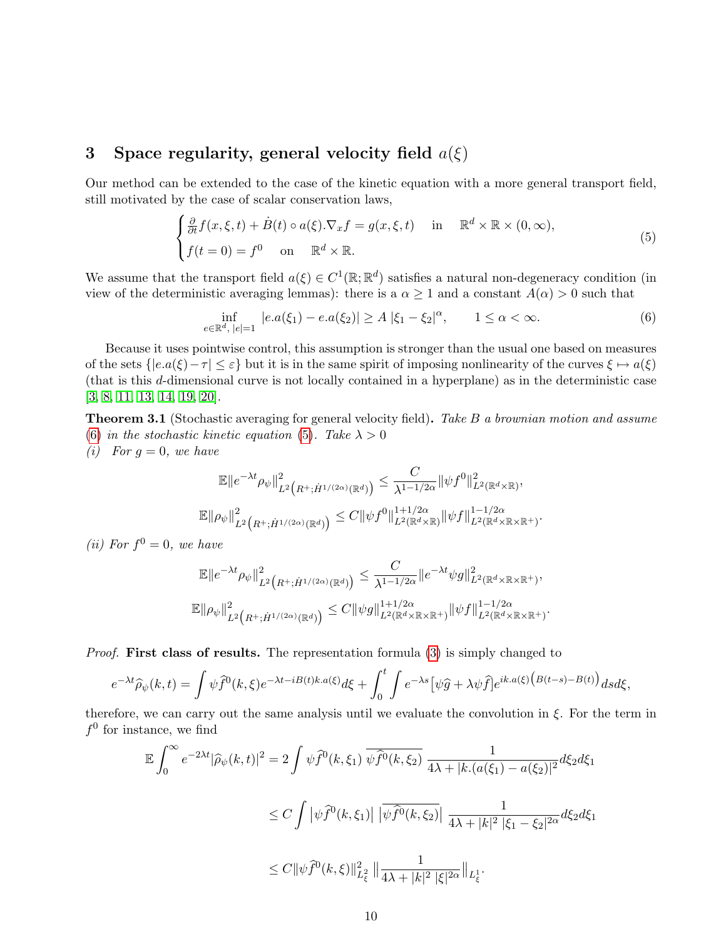# <span id="page-9-0"></span>3 Space regularity, general velocity field  $a(\xi)$

Our method can be extended to the case of the kinetic equation with a more general transport field, still motivated by the case of scalar conservation laws,

<span id="page-9-2"></span>
$$
\begin{cases} \frac{\partial}{\partial t} f(x,\xi,t) + \dot{B}(t) \circ a(\xi) . \nabla_x f = g(x,\xi,t) & \text{in} \quad \mathbb{R}^d \times \mathbb{R} \times (0,\infty), \\ f(t=0) = f^0 & \text{on} \quad \mathbb{R}^d \times \mathbb{R}. \end{cases}
$$
 (5)

We assume that the transport field  $a(\xi) \in C^1(\mathbb{R}; \mathbb{R}^d)$  satisfies a natural non-degeneracy condition (in view of the deterministic averaging lemmas): there is a  $\alpha \geq 1$  and a constant  $A(\alpha) > 0$  such that

<span id="page-9-1"></span>
$$
\inf_{e \in \mathbb{R}^d, \, |e| = 1} \, |e.a(\xi_1) - e.a(\xi_2)| \ge A \, |\xi_1 - \xi_2|^\alpha, \qquad 1 \le \alpha < \infty. \tag{6}
$$

Because it uses pointwise control, this assumption is stronger than the usual one based on measures of the sets  $\{|e.a(\xi)-\tau| \leq \varepsilon\}$  but it is in the same spirit of imposing nonlinearity of the curves  $\xi \mapsto a(\xi)$ (that is this d-dimensional curve is not locally contained in a hyperplane) as in the deterministic case [\[3,](#page-15-8) [8,](#page-15-0) [11,](#page-16-3) [13,](#page-16-8) [14,](#page-16-9) [19,](#page-16-5) [20\]](#page-16-4).

**Theorem 3.1** (Stochastic averaging for general velocity field). Take B a brownian motion and assume [\(6\)](#page-9-1) in the stochastic kinetic equation [\(5\)](#page-9-2). Take  $\lambda > 0$ (i) For  $q = 0$ , we have

$$
\mathbb{E} \|e^{-\lambda t} \rho_{\psi}\|_{L^2\left(R^+; \dot{H}^{1/(2\alpha)}(\mathbb{R}^d)\right)}^2 \leq \frac{C}{\lambda^{1-1/2\alpha}} \|\psi f^0\|_{L^2(\mathbb{R}^d \times \mathbb{R})}^2,
$$
  

$$
\mathbb{E} \|\rho_{\psi}\|_{L^2\left(R^+; \dot{H}^{1/(2\alpha)}(\mathbb{R}^d)\right)}^2 \leq C \|\psi f^0\|_{L^2(\mathbb{R}^d \times \mathbb{R})}^{1+1/2\alpha} \|\psi f\|_{L^2(\mathbb{R}^d \times \mathbb{R} \times \mathbb{R}^+)}^{1-1/2\alpha}.
$$

(*ii*) For  $f^0 = 0$ , we have

$$
\mathbb{E}||e^{-\lambda t}\rho_{\psi}||_{L^{2}\left(R^{+};\dot{H}^{1/(2\alpha)}(\mathbb{R}^{d})\right)}^{2} \leq \frac{C}{\lambda^{1-1/2\alpha}}||e^{-\lambda t}\psi g||_{L^{2}(\mathbb{R}^{d}\times\mathbb{R}\times\mathbb{R}^{+})}^{2},
$$
  

$$
\mathbb{E}||\rho_{\psi}||_{L^{2}\left(R^{+};\dot{H}^{1/(2\alpha)}(\mathbb{R}^{d})\right)}^{2} \leq C||\psi g||_{L^{2}(\mathbb{R}^{d}\times\mathbb{R}\times\mathbb{R}^{+})}^{1+1/2\alpha}||\psi f||_{L^{2}(\mathbb{R}^{d}\times\mathbb{R}\times\mathbb{R}^{+})}^{1-1/2\alpha}.
$$

*Proof.* First class of results. The representation formula [\(3\)](#page-3-0) is simply changed to

$$
e^{-\lambda t}\widehat{\rho}_{\psi}(k,t) = \int \psi \widehat{f}^0(k,\xi)e^{-\lambda t - iB(t)k.a(\xi)}d\xi + \int_0^t \int e^{-\lambda s} \big[\psi \widehat{g} + \lambda \psi \widehat{f}\big]e^{ik.a(\xi)\big(B(t-s) - B(t)\big)}dsd\xi,
$$

therefore, we can carry out the same analysis until we evaluate the convolution in  $\xi$ . For the term in  $f^0$  for instance, we find

$$
\mathbb{E} \int_0^\infty e^{-2\lambda t} |\widehat{\rho}_{\psi}(k,t)|^2 = 2 \int \psi \widehat{f}^0(k,\xi_1) \, \overline{\psi \widehat{f}^0(k,\xi_2)} \, \frac{1}{4\lambda + |k.(a(\xi_1) - a(\xi_2)|^2} d\xi_2 d\xi_1
$$
  

$$
\leq C \int |\psi \widehat{f}^0(k,\xi_1)| \, |\overline{\psi \widehat{f}^0(k,\xi_2)}| \, \frac{1}{4\lambda + |k|^2 |\xi_1 - \xi_2|^{2\alpha}} d\xi_2 d\xi_1
$$
  

$$
\leq C \|\psi \widehat{f}^0(k,\xi)\|_{L^2_{\xi}}^2 \, \|\frac{1}{4\lambda + |k|^2 |\xi|^{2\alpha}} \|_{L^1_{\xi}}.
$$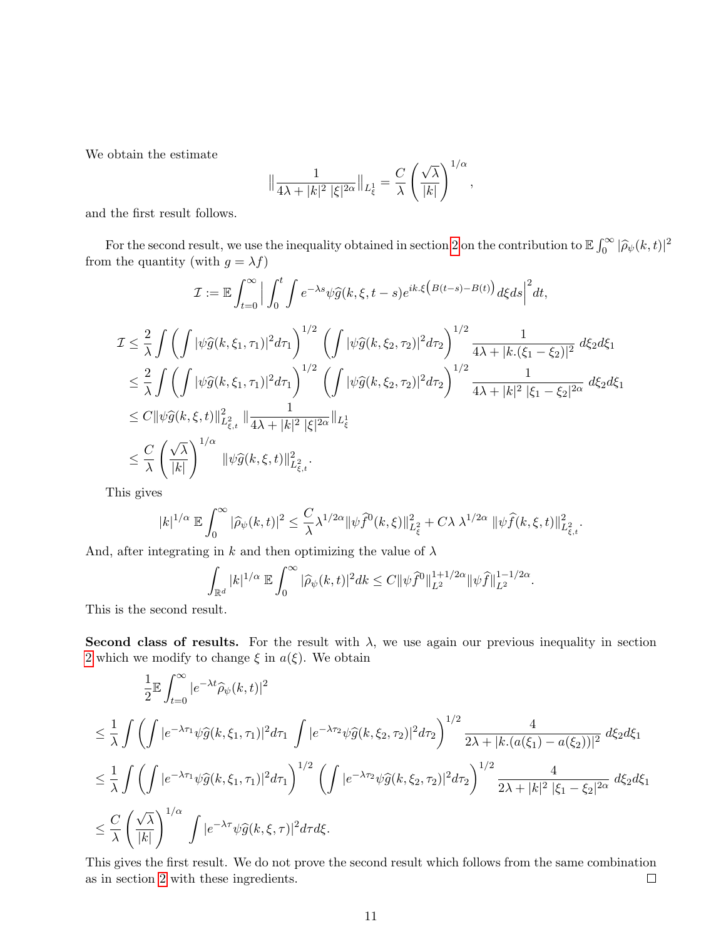We obtain the estimate

$$
\big\|\frac{1}{4\lambda+|k|^2\;|\xi|^{2\alpha}}\big\|_{L^1_\xi}=\frac{C}{\lambda}\left(\frac{\sqrt{\lambda}}{|k|}\right)^{1/\alpha},
$$

and the first result follows.

For the second result, we use the inequality obtained in section [2](#page-2-0) on the contribution to  $\mathbb{E} \int_0^\infty |\hat{\rho}_{\psi}(k,t)|^2$ <br>in the quantity (with  $g = \lambda f$ ) from the quantity (with  $g=\lambda f)$ 

$$
\mathcal{I} := \mathbb{E} \int_{t=0}^{\infty} \Big| \int_0^t \int e^{-\lambda s} \psi \widehat{g}(k, \xi, t-s) e^{ik.\xi \left(B(t-s)-B(t)\right)} d\xi ds \Big|^2 dt,
$$
\n
$$
\mathcal{I} \leq \frac{2}{\lambda} \int \left( \int |\psi \widehat{g}(k, \xi_1, \tau_1)|^2 d\tau_1 \right)^{1/2} \left( \int |\psi \widehat{g}(k, \xi_2, \tau_2)|^2 d\tau_2 \right)^{1/2} \frac{1}{4\lambda + |k.(\xi_1 - \xi_2)|^2} d\xi_2 d\xi_1
$$
\n
$$
\leq \frac{2}{\lambda} \int \left( \int |\psi \widehat{g}(k, \xi_1, \tau_1)|^2 d\tau_1 \right)^{1/2} \left( \int |\psi \widehat{g}(k, \xi_2, \tau_2)|^2 d\tau_2 \right)^{1/2} \frac{1}{4\lambda + |k|^2 |\xi_1 - \xi_2|^{2\alpha}} d\xi_2 d\xi_1
$$
\n
$$
\leq C \|\psi \widehat{g}(k, \xi, t)\|_{L^2_{\xi, t}}^2 \|\frac{1}{4\lambda + |k|^2 |\xi|^{2\alpha}} \|_{L^1_{\xi}}
$$
\n
$$
\leq \frac{C}{\lambda} \left( \frac{\sqrt{\lambda}}{|k|} \right)^{1/\alpha} \|\psi \widehat{g}(k, \xi, t)\|_{L^2_{\xi, t}}^2.
$$

This gives

$$
|k|^{1/\alpha} \to \int_0^\infty |\widehat \rho_\psi(k,t)|^2 \leq \frac{C}{\lambda} \lambda^{1/2\alpha} \|\psi \widehat f^0(k,\xi)\|_{L^2_\xi}^2 + C\lambda \, \lambda^{1/2\alpha} \, \|\psi \widehat f(k,\xi,t)\|_{L^2_{\xi,t}}^2.
$$

And, after integrating in k and then optimizing the value of  $\lambda$ 

$$
\int_{\mathbb{R}^d} |k|^{1/\alpha} \, \mathbb{E} \int_0^\infty |\widehat{\rho}_\psi(k,t)|^2 dk \leq C \| \psi \widehat{f}^0\|_{L^2}^{1+1/2\alpha} \| \psi \widehat{f} \|_{L^2}^{1-1/2\alpha}.
$$

This is the second result.

Second class of results. For the result with  $\lambda$ , we use again our previous inequality in section [2](#page-2-0) which we modify to change  $\xi$  in  $a(\xi)$ . We obtain

$$
\frac{1}{2}\mathbb{E}\int_{t=0}^{\infty}|e^{-\lambda t}\widehat{\rho}_{\psi}(k,t)|^{2}
$$
\n
$$
\leq \frac{1}{\lambda}\int \left(\int|e^{-\lambda\tau_{1}}\psi\widehat{g}(k,\xi_{1},\tau_{1})|^{2}d\tau_{1}\int|e^{-\lambda\tau_{2}}\psi\widehat{g}(k,\xi_{2},\tau_{2})|^{2}d\tau_{2}\right)^{1/2} \frac{4}{2\lambda+|k.(a(\xi_{1})-a(\xi_{2}))|^{2}} d\xi_{2}d\xi_{1}
$$
\n
$$
\leq \frac{1}{\lambda}\int \left(\int|e^{-\lambda\tau_{1}}\psi\widehat{g}(k,\xi_{1},\tau_{1})|^{2}d\tau_{1}\right)^{1/2} \left(\int|e^{-\lambda\tau_{2}}\psi\widehat{g}(k,\xi_{2},\tau_{2})|^{2}d\tau_{2}\right)^{1/2} \frac{4}{2\lambda+|k|^{2}| \xi_{1}-\xi_{2}|^{2\alpha}} d\xi_{2}d\xi_{1}
$$
\n
$$
\leq \frac{C}{\lambda}\left(\frac{\sqrt{\lambda}}{|k|}\right)^{1/\alpha}\int|e^{-\lambda\tau}\psi\widehat{g}(k,\xi,\tau)|^{2}d\tau d\xi.
$$

This gives the first result. We do not prove the second result which follows from the same combination as in section [2](#page-2-0) with these ingredients.  $\Box$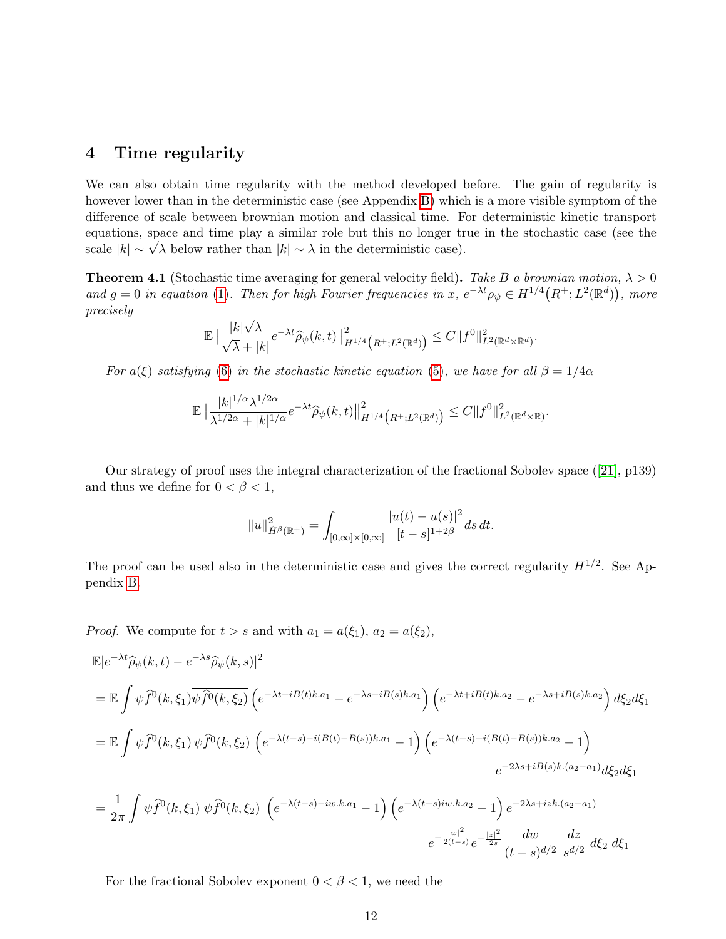# <span id="page-11-0"></span>4 Time regularity

We can also obtain time regularity with the method developed before. The gain of regularity is however lower than in the deterministic case (see Appendix [B\)](#page-14-0) which is a more visible symptom of the difference of scale between brownian motion and classical time. For deterministic kinetic transport equations, space and time play a similar role but this no longer true in the stochastic case (see the equations, space and time play a similar role but this no longer tracale  $|k| \sim \sqrt{\lambda}$  below rather than  $|k| \sim \lambda$  in the deterministic case).

**Theorem 4.1** (Stochastic time averaging for general velocity field). Take B a brownian motion,  $\lambda > 0$ and  $g = 0$  in equation [\(1\)](#page-1-1). Then for high Fourier frequencies in x,  $e^{-\lambda t} \rho_\psi \in H^{1/4}(R^+; L^2(\mathbb{R}^d))$ , more precisely √

$$
\mathbb{E}\left\|\frac{|k|\sqrt{\lambda}}{\sqrt{\lambda}+|k|}e^{-\lambda t}\widehat{\rho}_{\psi}(k,t)\right\|_{H^{1/4}\big(R^+;L^2(\mathbb{R}^d)\big)}^2\leq C\|f^0\|_{L^2(\mathbb{R}^d\times\mathbb{R}^d)}^2.
$$

For a(ξ) satisfying [\(6\)](#page-9-1) in the stochastic kinetic equation [\(5\)](#page-9-2), we have for all  $\beta = 1/4\alpha$ 

$$
\mathbb{E}\|\frac{|k|^{1/\alpha}\lambda^{1/2\alpha}}{\lambda^{1/2\alpha}+|k|^{1/\alpha}}e^{-\lambda t}\widehat{\rho}_{\psi}(k,t)\|_{H^{1/4}\big(R^{+};L^{2}(\mathbb{R}^{d})\big)}^{2}\leq C\|f^{0}\|_{L^{2}(\mathbb{R}^{d}\times\mathbb{R})}^{2}.
$$

Our strategy of proof uses the integral characterization of the fractional Sobolev space ([\[21\]](#page-16-11), p139) and thus we define for  $0 < \beta < 1$ ,

$$
||u||_{\dot{H}^{\beta}(\mathbb{R}^+)}^2 = \int_{[0,\infty]\times[0,\infty]} \frac{|u(t)-u(s)|^2}{[t-s]^{1+2\beta}} ds dt.
$$

The proof can be used also in the deterministic case and gives the correct regularity  $H^{1/2}$ . See Appendix [B.](#page-14-0)

*Proof.* We compute for  $t > s$  and with  $a_1 = a(\xi_1)$ ,  $a_2 = a(\xi_2)$ ,

$$
\mathbb{E}|e^{-\lambda t}\hat{\rho}_{\psi}(k,t) - e^{-\lambda s}\hat{\rho}_{\psi}(k,s)|^{2}
$$
\n
$$
= \mathbb{E}\int \psi \hat{f}^{0}(k,\xi_{1})\overline{\psi\hat{f}^{0}(k,\xi_{2})}\left(e^{-\lambda t - iB(t)k.a_{1}} - e^{-\lambda s - iB(s)k.a_{1}}\right)\left(e^{-\lambda t + iB(t)k.a_{2}} - e^{-\lambda s + iB(s)k.a_{2}}\right)d\xi_{2}d\xi_{1}
$$
\n
$$
= \mathbb{E}\int \psi \hat{f}^{0}(k,\xi_{1})\overline{\psi\hat{f}^{0}(k,\xi_{2})}\left(e^{-\lambda(t-s) - i(B(t) - B(s))k.a_{1}} - 1\right)\left(e^{-\lambda(t-s) + i(B(t) - B(s))k.a_{2}} - 1\right)
$$
\n
$$
e^{-2\lambda s + iB(s)k.(a_{2} - a_{1})}d\xi_{2}d\xi_{1}
$$
\n
$$
= \frac{1}{2\pi}\int \psi \hat{f}^{0}(k,\xi_{1})\overline{\psi\hat{f}^{0}(k,\xi_{2})}\left(e^{-\lambda(t-s) - i w.k.a_{1}} - 1\right)\left(e^{-\lambda(t-s) i w.k.a_{2}} - 1\right)e^{-2\lambda s + i zk.(a_{2} - a_{1})}
$$
\n
$$
e^{-\frac{|w|^{2}}{2(t-s)}}e^{-\frac{|z|^{2}}{2s}}\frac{dw}{(t-s)^{d/2}}\frac{dz}{s^{d/2}}d\xi_{2}d\xi_{1}
$$

For the fractional Sobolev exponent  $0 < \beta < 1$ , we need the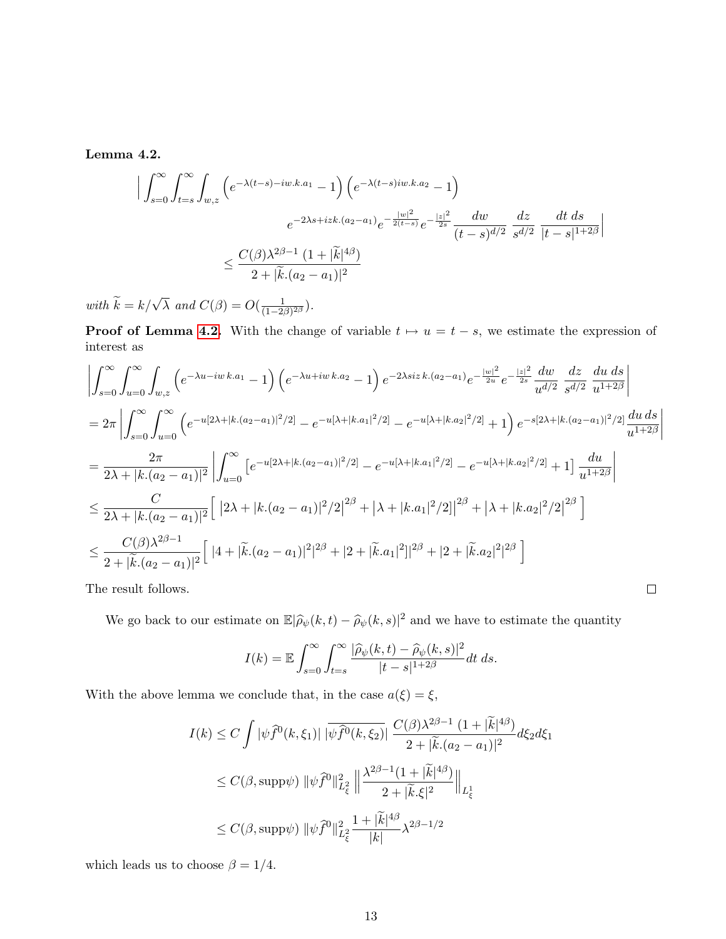<span id="page-12-0"></span>Lemma 4.2.

$$
\left| \int_{s=0}^{\infty} \int_{t=s}^{\infty} \int_{w,z} \left( e^{-\lambda(t-s) - iw.k.a_1} - 1 \right) \left( e^{-\lambda(t-s)iw.k.a_2} - 1 \right) \right|
$$
  

$$
e^{-2\lambda s + izk.(a_2 - a_1)} e^{-\frac{|w|^2}{2(t-s)}} e^{-\frac{|z|^2}{2s}} \frac{dw}{(t-s)^{d/2}} \frac{dz}{s^{d/2}} \frac{dt ds}{|t-s|^{1+2\beta}} \right|
$$
  

$$
\leq \frac{C(\beta)\lambda^{2\beta - 1} (1 + |\tilde{k}|^{4\beta})}{2 + |\tilde{k}.(a_2 - a_1)|^2}
$$

with  $\widetilde{k} = k/\sqrt{\lambda}$  and  $C(\beta) = O(\frac{1}{(1-2\beta)})$  $\frac{1}{(1-2\beta)^{2\beta}}$ ).

**Proof of Lemma [4.2.](#page-12-0)** With the change of variable  $t \mapsto u = t - s$ , we estimate the expression of interest as

$$
\left| \int_{s=0}^{\infty} \int_{u=0}^{\infty} \int_{w,z} \left( e^{-\lambda u - i w k.a_1} - 1 \right) \left( e^{-\lambda u + i w k.a_2} - 1 \right) e^{-2\lambda s iz k.(a_2 - a_1)} e^{-\frac{|w|^2}{2u}} e^{-\frac{|z|^2}{2s}} \frac{dw}{u^{d/2}} \frac{dz}{s^{d/2}} \frac{du ds}{u^{1+2\beta}} \right|
$$
  
\n
$$
= 2\pi \left| \int_{s=0}^{\infty} \int_{u=0}^{\infty} \left( e^{-u[2\lambda + |k.(a_2 - a_1)|^2/2]} - e^{-u[\lambda + |k.a_1|^2/2]} - e^{-u[\lambda + |k.a_2|^2/2]} + 1 \right) e^{-s[2\lambda + |k.(a_2 - a_1)|^2/2]} \frac{du ds}{u^{1+2\beta}} \right|
$$
  
\n
$$
= \frac{2\pi}{2\lambda + |k.(a_2 - a_1)|^2} \left| \int_{u=0}^{\infty} \left[ e^{-u[2\lambda + |k.(a_2 - a_1)|^2/2]} - e^{-u[\lambda + |k.a_1|^2/2]} - e^{-u[\lambda + |k.a_2|^2/2]} + 1 \right] \frac{du}{u^{1+2\beta}} \right|
$$
  
\n
$$
\leq \frac{C}{2\lambda + |k.(a_2 - a_1)|^2} \left[ |2\lambda + |k.(a_2 - a_1)|^2/2|^{2\beta} + |\lambda + |k.a_1|^2/2| |^{2\beta} + |\lambda + |k.a_2|^2/2|^{2\beta} \right]
$$
  
\n
$$
\leq \frac{C(\beta)\lambda^{2\beta - 1}}{2 + |\tilde{k}.(a_2 - a_1)|^2} \left[ |4 + |\tilde{k}.(a_2 - a_1)|^2|^{2\beta} + |2 + |\tilde{k}.a_1|^2| |^{2\beta} + |2 + |\tilde{k}.a_2|^2|^{2\beta} \right]
$$

The result follows.

We go back to our estimate on  $\mathbb{E}|\hat{\rho}_{\psi}(k,t) - \hat{\rho}_{\psi}(k,s)|^2$  and we have to estimate the quantity

 $\Box$ 

$$
I(k) = \mathbb{E} \int_{s=0}^{\infty} \int_{t=s}^{\infty} \frac{|\widehat{\rho}_{\psi}(k,t) - \widehat{\rho}_{\psi}(k,s)|^2}{|t-s|^{1+2\beta}} dt ds.
$$

With the above lemma we conclude that, in the case  $a(\xi)=\xi,$ 

$$
I(k) \le C \int |\psi \widehat{f}^0(k,\xi_1)| |\overline{\psi} \widehat{f}^0(k,\xi_2)| \frac{C(\beta)\lambda^{2\beta-1} (1+|\widetilde{k}|^{4\beta})}{2+|\widetilde{k}.(a_2-a_1)|^2} d\xi_2 d\xi_1
$$
  

$$
\le C(\beta, \text{supp}\psi) ||\psi \widehat{f}^0||_{L_{\xi}^2}^2 ||\frac{\lambda^{2\beta-1} (1+|\widetilde{k}|^{4\beta})}{2+|\widetilde{k}.\xi|^2} ||_{L_{\xi}^1}
$$
  

$$
\le C(\beta, \text{supp}\psi) ||\psi \widehat{f}^0||_{L_{\xi}^2}^2 \frac{1+|\widetilde{k}|^{4\beta}}{|k|} \lambda^{2\beta-1/2}
$$

which leads us to choose  $\beta=1/4.$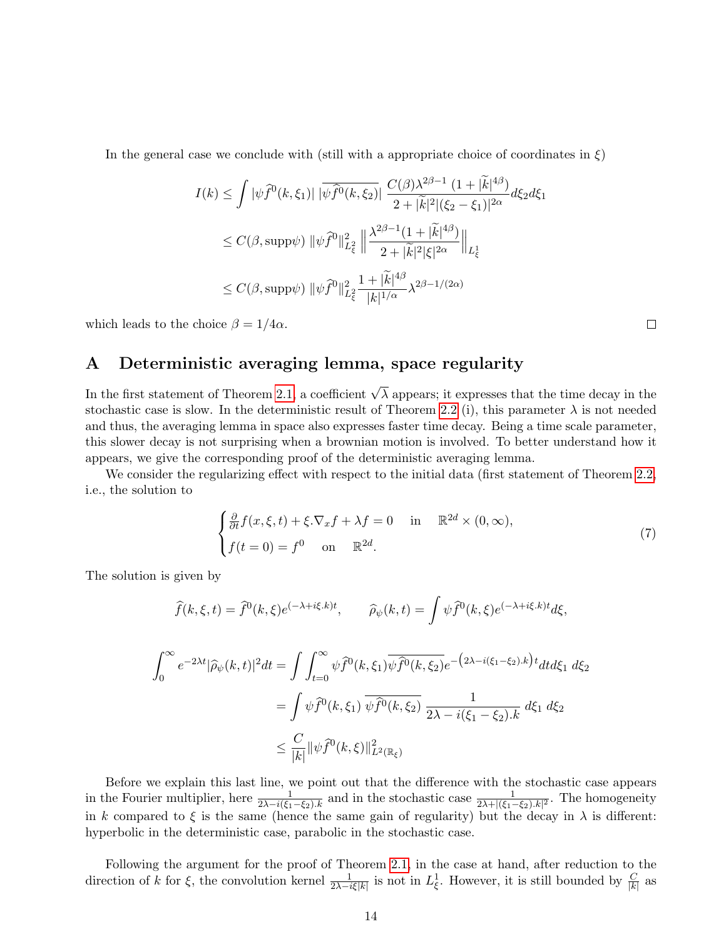In the general case we conclude with (still with a appropriate choice of coordinates in  $\xi$ )

$$
I(k) \leq \int |\psi \widehat{f}^0(k,\xi_1)| |\overline{\psi} \widehat{f}^0(k,\xi_2)| \frac{C(\beta)\lambda^{2\beta-1} (1+|\widetilde{k}|^{4\beta})}{2+|\widetilde{k}|^2|(\xi_2-\xi_1)|^{2\alpha}} d\xi_2 d\xi_1
$$
  

$$
\leq C(\beta, \text{supp}\psi) \|\psi \widehat{f}^0\|_{L^2_{\xi}}^2 \left\|\frac{\lambda^{2\beta-1} (1+|\widetilde{k}|^{4\beta})}{2+|\widetilde{k}|^2|\xi|^{2\alpha}}\right\|_{L^1_{\xi}}
$$
  

$$
\leq C(\beta, \text{supp}\psi) \|\psi \widehat{f}^0\|_{L^2_{\xi}}^2 \frac{1+|\widetilde{k}|^{4\beta}}{|k|^{1/\alpha}} \lambda^{2\beta-1/(2\alpha)}
$$

which leads to the choice  $\beta = 1/4\alpha$ .

# <span id="page-13-0"></span>A Deterministic averaging lemma, space regularity

In the first statement of Theorem [2.1,](#page-2-1) a coefficient  $\sqrt{\lambda}$  appears; it expresses that the time decay in the stochastic case is slow. In the deterministic result of Theorem [2.2](#page-2-2) (i), this parameter  $\lambda$  is not needed and thus, the averaging lemma in space also expresses faster time decay. Being a time scale parameter, this slower decay is not surprising when a brownian motion is involved. To better understand how it appears, we give the corresponding proof of the deterministic averaging lemma.

We consider the regularizing effect with respect to the initial data (first statement of Theorem [2.2,](#page-2-2) i.e., the solution to

$$
\begin{cases} \frac{\partial}{\partial t} f(x,\xi,t) + \xi \cdot \nabla_x f + \lambda f = 0 & \text{in} \quad \mathbb{R}^{2d} \times (0,\infty), \\ f(t=0) = f^0 & \text{on} \quad \mathbb{R}^{2d}. \end{cases}
$$
 (7)

The solution is given by

$$
\hat{f}(k,\xi,t) = \hat{f}^{0}(k,\xi)e^{(-\lambda + i\xi.k)t}, \qquad \hat{\rho}_{\psi}(k,t) = \int \psi \hat{f}^{0}(k,\xi)e^{(-\lambda + i\xi.k)t}d\xi,
$$
\n
$$
\int_{0}^{\infty} e^{-2\lambda t} |\hat{\rho}_{\psi}(k,t)|^{2}dt = \int \int_{t=0}^{\infty} \psi \hat{f}^{0}(k,\xi_{1}) \overline{\psi \hat{f}^{0}(k,\xi_{2})} e^{-\left(2\lambda - i(\xi_{1} - \xi_{2})\cdot k\right)t} dt d\xi_{1} d\xi_{2}
$$
\n
$$
= \int \psi \hat{f}^{0}(k,\xi_{1}) \overline{\psi \hat{f}^{0}(k,\xi_{2})} \frac{1}{2\lambda - i(\xi_{1} - \xi_{2})\cdot k} d\xi_{1} d\xi_{2}
$$
\n
$$
\leq \frac{C}{|k|} \|\psi \hat{f}^{0}(k,\xi)\|_{L^{2}(\mathbb{R}_{\xi})}^{2}
$$

Before we explain this last line, we point out that the difference with the stochastic case appears in the Fourier multiplier, here  $\frac{1}{2\lambda - i(\xi_1 - \xi_2) \cdot k}$  and in the stochastic case  $\frac{1}{2\lambda + |(\xi_1 - \xi_2) \cdot k|^2}$ . The homogeneity in k compared to  $\xi$  is the same (hence the same gain of regularity) but the decay in  $\lambda$  is different: hyperbolic in the deterministic case, parabolic in the stochastic case.

Following the argument for the proof of Theorem [2.1,](#page-2-1) in the case at hand, after reduction to the direction of k for  $\xi$ , the convolution kernel  $\frac{1}{2\lambda - i\xi|k|}$  is not in  $L^1_{\xi}$ . However, it is still bounded by  $\frac{C}{|k|}$  as

 $\Box$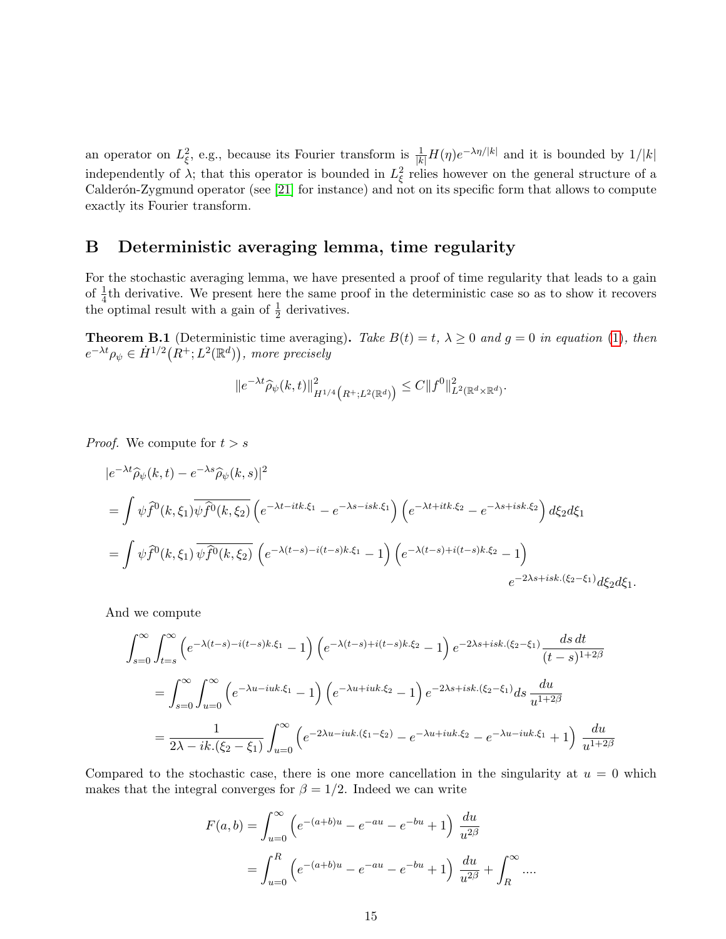an operator on  $L_{\xi}^2$ , e.g., because its Fourier transform is  $\frac{1}{|k|}H(\eta)e^{-\lambda\eta/|k|}$  and it is bounded by  $1/|k|$ independently of  $\lambda$ ; that this operator is bounded in  $L_{\xi}^2$  relies however on the general structure of a Calderón-Zygmund operator (see [\[21\]](#page-16-11) for instance) and not on its specific form that allows to compute exactly its Fourier transform.

# <span id="page-14-0"></span>B Deterministic averaging lemma, time regularity

For the stochastic averaging lemma, we have presented a proof of time regularity that leads to a gain of  $\frac{1}{4}$ th derivative. We present here the same proof in the deterministic case so as to show it recovers the optimal result with a gain of  $\frac{1}{2}$  derivatives.

**Theorem B.1** (Deterministic time averaging). Take  $B(t) = t$ ,  $\lambda \geq 0$  and  $g = 0$  in equation [\(1\)](#page-1-1), then  $e^{-\lambda t}\rho_\psi \in \dot{H}^{1/2}(R^+;L^2(\mathbb{R}^d)),$  more precisely

$$
||e^{-\lambda t}\widehat{\rho}_{\psi}(k,t)||_{H^{1/4}\big(R^+;L^2(\mathbb{R}^d)\big)}^2 \leq C||f^0||^2_{L^2(\mathbb{R}^d\times\mathbb{R}^d)}.
$$

*Proof.* We compute for  $t > s$ 

$$
|e^{-\lambda t}\widehat{\rho}_{\psi}(k,t) - e^{-\lambda s}\widehat{\rho}_{\psi}(k,s)|^2
$$
  
=  $\int \psi \widehat{f}^0(k,\xi_1)\overline{\psi}\widehat{f}^0(k,\xi_2)\left(e^{-\lambda t - itk.\xi_1} - e^{-\lambda s - isk.\xi_1}\right)\left(e^{-\lambda t + itk.\xi_2} - e^{-\lambda s + isk.\xi_2}\right)d\xi_2d\xi_1$   
=  $\int \psi \widehat{f}^0(k,\xi_1)\overline{\psi}\widehat{f}^0(k,\xi_2)\left(e^{-\lambda(t-s) - i(t-s)k.\xi_1} - 1\right)\left(e^{-\lambda(t-s) + i(t-s)k.\xi_2} - 1\right)$   
 $e^{-2\lambda s + isk.(\xi_2 - \xi_1)}d\xi_2d\xi_1.$ 

And we compute

$$
\int_{s=0}^{\infty} \int_{t=s}^{\infty} \left( e^{-\lambda(t-s) - i(t-s)k \cdot \xi_1} - 1 \right) \left( e^{-\lambda(t-s) + i(t-s)k \cdot \xi_2} - 1 \right) e^{-2\lambda s + isk \cdot (\xi_2 - \xi_1)} \frac{ds \, dt}{(t-s)^{1+2\beta}}
$$
  
= 
$$
\int_{s=0}^{\infty} \int_{u=0}^{\infty} \left( e^{-\lambda u - iuk \cdot \xi_1} - 1 \right) \left( e^{-\lambda u + iuk \cdot \xi_2} - 1 \right) e^{-2\lambda s + isk \cdot (\xi_2 - \xi_1)} ds \frac{du}{u^{1+2\beta}}
$$
  
= 
$$
\frac{1}{2\lambda - ik \cdot (\xi_2 - \xi_1)} \int_{u=0}^{\infty} \left( e^{-2\lambda u - iuk \cdot (\xi_1 - \xi_2)} - e^{-\lambda u + iuk \cdot \xi_2} - e^{-\lambda u - iuk \cdot \xi_1} + 1 \right) \frac{du}{u^{1+2\beta}}
$$

Compared to the stochastic case, there is one more cancellation in the singularity at  $u = 0$  which makes that the integral converges for  $\beta = 1/2$ . Indeed we can write

$$
F(a,b) = \int_{u=0}^{\infty} \left( e^{-(a+b)u} - e^{-au} - e^{-bu} + 1 \right) \frac{du}{u^{2\beta}}
$$
  
= 
$$
\int_{u=0}^{R} \left( e^{-(a+b)u} - e^{-au} - e^{-bu} + 1 \right) \frac{du}{u^{2\beta}} + \int_{R}^{\infty} \dots
$$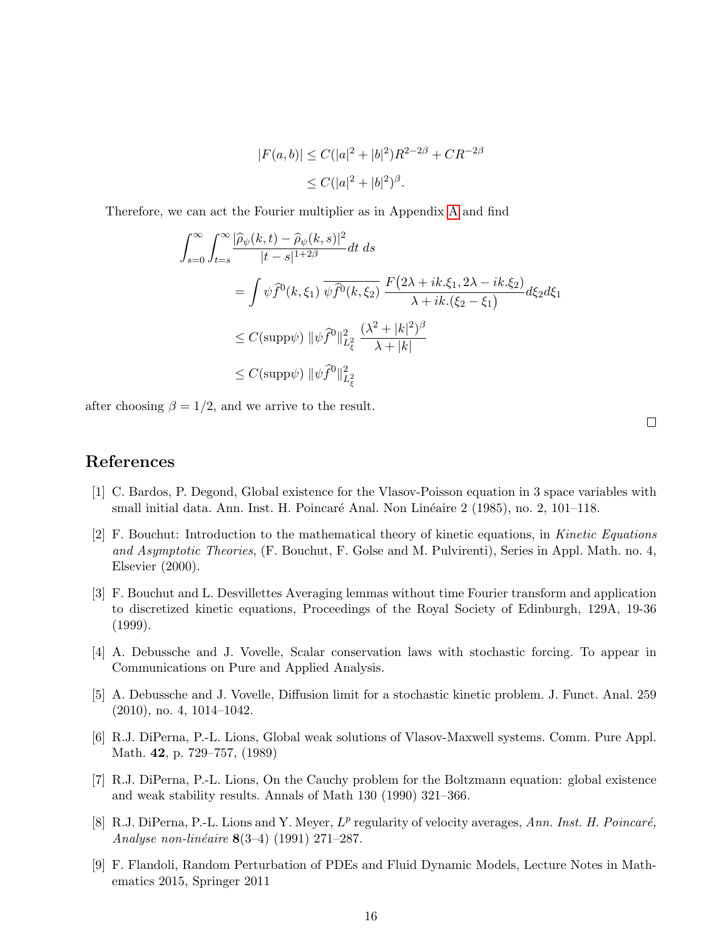$$
|F(a,b)| \le C(|a|^2 + |b|^2)R^{2-2\beta} + CR^{-2\beta}
$$
  

$$
\le C(|a|^2 + |b|^2)^{\beta}.
$$

Therefore, we can act the Fourier multiplier as in Appendix [A](#page-13-0) and find

$$
\int_{s=0}^{\infty} \int_{t=s}^{\infty} \frac{|\widehat{\rho}_{\psi}(k,t) - \widehat{\rho}_{\psi}(k,s)|^2}{|t-s|^{1+2\beta}} dt ds
$$
  
\n
$$
= \int \psi \widehat{f}^0(k,\xi_1) \, \overline{\psi \widehat{f}^0(k,\xi_2)} \, \frac{F(2\lambda + ik.\xi_1, 2\lambda - ik.\xi_2)}{\lambda + ik.(\xi_2 - \xi_1)} d\xi_2 d\xi_1
$$
  
\n
$$
\leq C(\text{supp}\psi) \, \|\psi \widehat{f}^0\|_{L^2_{\xi}}^2 \, \frac{(\lambda^2 + |k|^2)^{\beta}}{\lambda + |k|}
$$
  
\n
$$
\leq C(\text{supp}\psi) \, \|\psi \widehat{f}^0\|_{L^2_{\xi}}^2
$$

after choosing  $\beta = 1/2$ , and we arrive to the result.

 $\Box$ 

### References

- <span id="page-15-7"></span>[1] C. Bardos, P. Degond, Global existence for the Vlasov-Poisson equation in 3 space variables with small initial data. Ann. Inst. H. Poincaré Anal. Non Linéaire 2 (1985), no. 2, 101–118.
- <span id="page-15-1"></span>[2] F. Bouchut: Introduction to the mathematical theory of kinetic equations, in Kinetic Equations and Asymptotic Theories, (F. Bouchut, F. Golse and M. Pulvirenti), Series in Appl. Math. no. 4, Elsevier (2000).
- <span id="page-15-8"></span>[3] F. Bouchut and L. Desvillettes Averaging lemmas without time Fourier transform and application to discretized kinetic equations, Proceedings of the Royal Society of Edinburgh, 129A, 19-36 (1999).
- <span id="page-15-5"></span>[4] A. Debussche and J. Vovelle, Scalar conservation laws with stochastic forcing. To appear in Communications on Pure and Applied Analysis.
- <span id="page-15-6"></span>[5] A. Debussche and J. Vovelle, Diffusion limit for a stochastic kinetic problem. J. Funct. Anal. 259 (2010), no. 4, 1014–1042.
- <span id="page-15-2"></span>[6] R.J. DiPerna, P.-L. Lions, Global weak solutions of Vlasov-Maxwell systems. Comm. Pure Appl. Math. 42, p. 729–757, (1989)
- <span id="page-15-3"></span>[7] R.J. DiPerna, P.-L. Lions, On the Cauchy problem for the Boltzmann equation: global existence and weak stability results. Annals of Math 130 (1990) 321–366.
- <span id="page-15-0"></span>[8] R.J. DiPerna, P.-L. Lions and Y. Meyer,  $L^p$  regularity of velocity averages, Ann. Inst. H. Poincaré, Analyse non-linéaire  $8(3-4)$  (1991) 271–287.
- <span id="page-15-4"></span>[9] F. Flandoli, Random Perturbation of PDEs and Fluid Dynamic Models, Lecture Notes in Mathematics 2015, Springer 2011